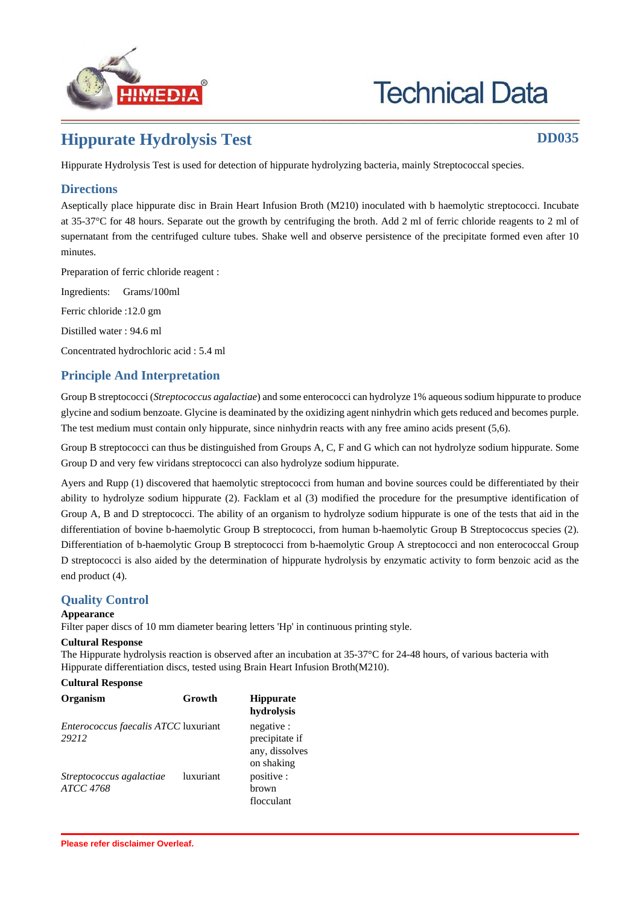

# **Technical Data**

# **Hippurate Hydrolysis Test DD035**

Hippurate Hydrolysis Test is used for detection of hippurate hydrolyzing bacteria, mainly Streptococcal species.

## **Directions**

Aseptically place hippurate disc in Brain Heart Infusion Broth (M210) inoculated with b haemolytic streptococci. Incubate at 35-37°C for 48 hours. Separate out the growth by centrifuging the broth. Add 2 ml of ferric chloride reagents to 2 ml of supernatant from the centrifuged culture tubes. Shake well and observe persistence of the precipitate formed even after 10 minutes.

Preparation of ferric chloride reagent :

Ingredients: Grams/100ml

Ferric chloride :12.0 gm

Distilled water : 94.6 ml

Concentrated hydrochloric acid : 5.4 ml

## **Principle And Interpretation**

Group B streptococci (*Streptococcus agalactiae*) and some enterococci can hydrolyze 1% aqueous sodium hippurate to produce glycine and sodium benzoate. Glycine is deaminated by the oxidizing agent ninhydrin which gets reduced and becomes purple. The test medium must contain only hippurate, since ninhydrin reacts with any free amino acids present (5,6).

Group B streptococci can thus be distinguished from Groups A, C, F and G which can not hydrolyze sodium hippurate. Some Group D and very few viridans streptococci can also hydrolyze sodium hippurate.

Ayers and Rupp (1) discovered that haemolytic streptococci from human and bovine sources could be differentiated by their ability to hydrolyze sodium hippurate (2). Facklam et al (3) modified the procedure for the presumptive identification of Group A, B and D streptococci. The ability of an organism to hydrolyze sodium hippurate is one of the tests that aid in the differentiation of bovine b-haemolytic Group B streptococci, from human b-haemolytic Group B Streptococcus species (2). Differentiation of b-haemolytic Group B streptococci from b-haemolytic Group A streptococci and non enterococcal Group D streptococci is also aided by the determination of hippurate hydrolysis by enzymatic activity to form benzoic acid as the end product (4).

### **Quality Control**

#### **Appearance**

Filter paper discs of 10 mm diameter bearing letters 'Hp' in continuous printing style.

#### **Cultural Response**

The Hippurate hydrolysis reaction is observed after an incubation at 35-37°C for 24-48 hours, of various bacteria with Hippurate differentiation discs, tested using Brain Heart Infusion Broth(M210).

#### **Cultural Response**

| <b>Organism</b>                                      | Growth    | <b>Hippurate</b><br>hydrolysis                               |
|------------------------------------------------------|-----------|--------------------------------------------------------------|
| <i>Enterococcus faecalis ATCC</i> luxuriant<br>29212 |           | negative :<br>precipitate if<br>any, dissolves<br>on shaking |
| Streptococcus agalactiae<br>ATCC 4768                | luxuriant | positive :<br>hrown<br>flocculant                            |